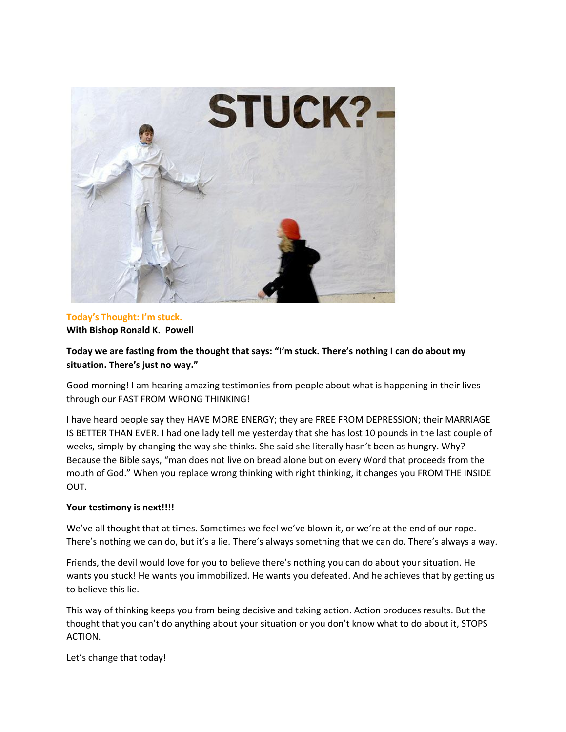

## **Today's Thought: I'm stuck. With Bishop Ronald K. Powell**

# **Today we are fasting from the thought that says: "I'm stuck. There's nothing I can do about my situation. There's just no way."**

Good morning! I am hearing amazing testimonies from people about what is happening in their lives through our FAST FROM WRONG THINKING!

I have heard people say they HAVE MORE ENERGY; they are FREE FROM DEPRESSION; their MARRIAGE IS BETTER THAN EVER. I had one lady tell me yesterday that she has lost 10 pounds in the last couple of weeks, simply by changing the way she thinks. She said she literally hasn't been as hungry. Why? Because the Bible says, "man does not live on bread alone but on every Word that proceeds from the mouth of God." When you replace wrong thinking with right thinking, it changes you FROM THE INSIDE OUT.

## **Your testimony is next!!!!**

We've all thought that at times. Sometimes we feel we've blown it, or we're at the end of our rope. There's nothing we can do, but it's a lie. There's always something that we can do. There's always a way.

Friends, the devil would love for you to believe there's nothing you can do about your situation. He wants you stuck! He wants you immobilized. He wants you defeated. And he achieves that by getting us to believe this lie.

This way of thinking keeps you from being decisive and taking action. Action produces results. But the thought that you can't do anything about your situation or you don't know what to do about it, STOPS ACTION.

Let's change that today!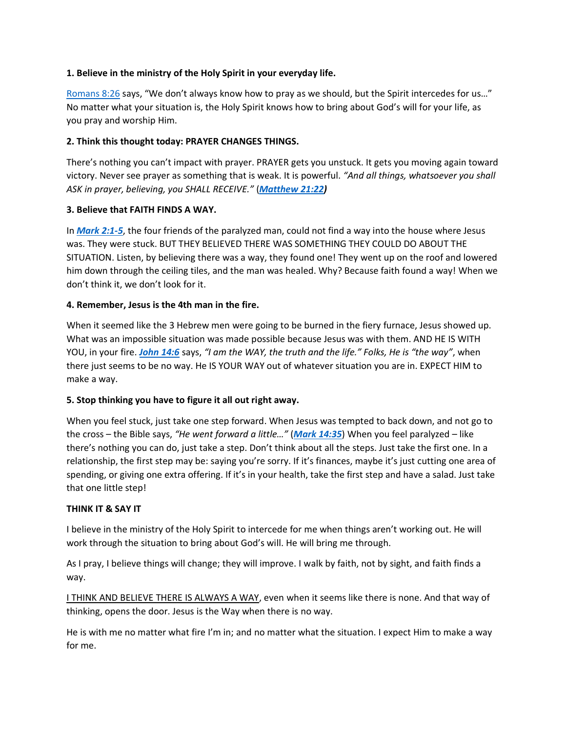#### **1. Believe in the ministry of the Holy Spirit in your everyday life.**

[Romans 8:26](https://biblia.com/bible/kjv1900/Rom%208.26) says, "We don't always know how to pray as we should, but the Spirit intercedes for us…" No matter what your situation is, the Holy Spirit knows how to bring about God's will for your life, as you pray and worship Him.

#### **2. Think this thought today: PRAYER CHANGES THINGS.**

There's nothing you can't impact with prayer. PRAYER gets you unstuck. It gets you moving again toward victory. Never see prayer as something that is weak. It is powerful. *"And all things, whatsoever you shall ASK in prayer, believing, you SHALL RECEIVE."* (*[Matthew 21:22\)](https://biblia.com/bible/kjv1900/Matt%2021.22)*

#### **3. Believe that FAITH FINDS A WAY.**

In *[Mark 2:1-5](https://biblia.com/bible/kjv1900/Mark%202.1-5)*, the four friends of the paralyzed man, could not find a way into the house where Jesus was. They were stuck. BUT THEY BELIEVED THERE WAS SOMETHING THEY COULD DO ABOUT THE SITUATION. Listen, by believing there was a way, they found one! They went up on the roof and lowered him down through the ceiling tiles, and the man was healed. Why? Because faith found a way! When we don't think it, we don't look for it.

## **4. Remember, Jesus is the 4th man in the fire.**

When it seemed like the 3 Hebrew men were going to be burned in the fiery furnace, Jesus showed up. What was an impossible situation was made possible because Jesus was with them. AND HE IS WITH YOU, in your fire. *[John 14:6](https://biblia.com/bible/kjv1900/John%2014.6)* says, *"I am the WAY, the truth and the life." Folks, He is "the way"*, when there just seems to be no way. He IS YOUR WAY out of whatever situation you are in. EXPECT HIM to make a way.

## **5. Stop thinking you have to figure it all out right away.**

When you feel stuck, just take one step forward. When Jesus was tempted to back down, and not go to the cross – the Bible says, *"He went forward a little…"* (*[Mark 14:35](https://biblia.com/bible/kjv1900/Mark%2014.35)*) When you feel paralyzed – like there's nothing you can do, just take a step. Don't think about all the steps. Just take the first one. In a relationship, the first step may be: saying you're sorry. If it's finances, maybe it's just cutting one area of spending, or giving one extra offering. If it's in your health, take the first step and have a salad. Just take that one little step!

#### **THINK IT & SAY IT**

I believe in the ministry of the Holy Spirit to intercede for me when things aren't working out. He will work through the situation to bring about God's will. He will bring me through.

As I pray, I believe things will change; they will improve. I walk by faith, not by sight, and faith finds a way.

I THINK AND BELIEVE THERE IS ALWAYS A WAY, even when it seems like there is none. And that way of thinking, opens the door. Jesus is the Way when there is no way.

He is with me no matter what fire I'm in; and no matter what the situation. I expect Him to make a way for me.